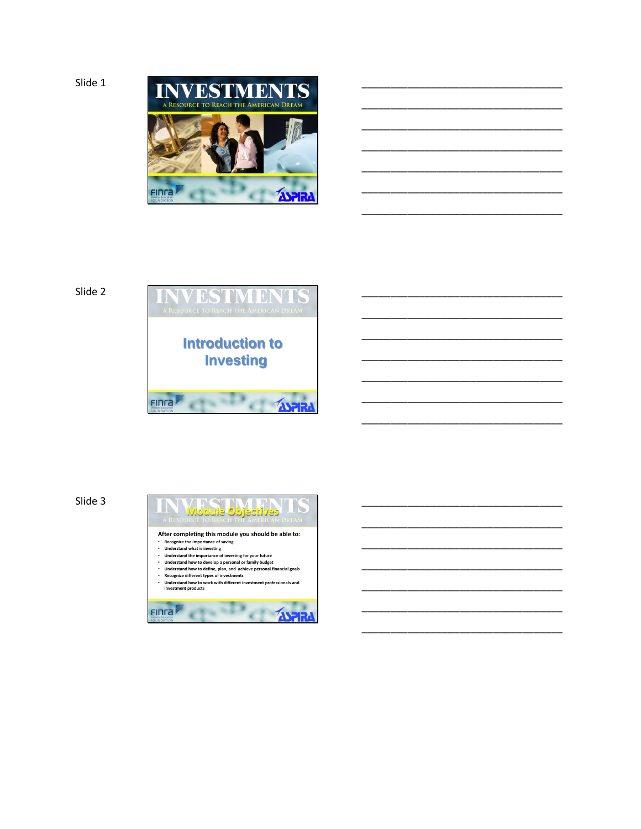

\_\_\_\_\_\_\_\_\_\_\_\_\_\_\_\_\_\_\_\_\_\_\_\_\_\_\_\_\_\_\_\_\_\_\_

\_\_\_\_\_\_\_\_\_\_\_\_\_\_\_\_\_\_\_\_\_\_\_\_\_\_\_\_\_\_\_\_\_\_\_

\_\_\_\_\_\_\_\_\_\_\_\_\_\_\_\_\_\_\_\_\_\_\_\_\_\_\_\_\_\_\_\_\_\_\_

\_\_\_\_\_\_\_\_\_\_\_\_\_\_\_\_\_\_\_\_\_\_\_\_\_\_\_\_\_\_\_\_\_\_\_

\_\_\_\_\_\_\_\_\_\_\_\_\_\_\_\_\_\_\_\_\_\_\_\_\_\_\_\_\_\_\_\_\_\_\_

\_\_\_\_\_\_\_\_\_\_\_\_\_\_\_\_\_\_\_\_\_\_\_\_\_\_\_\_\_\_\_\_\_\_\_

\_\_\_\_\_\_\_\_\_\_\_\_\_\_\_\_\_\_\_\_\_\_\_\_\_\_\_\_\_\_\_\_\_\_\_

\_\_\_\_\_\_\_\_\_\_\_\_\_\_\_\_\_\_\_\_\_\_\_\_\_\_\_\_\_\_\_\_\_\_\_

\_\_\_\_\_\_\_\_\_\_\_\_\_\_\_\_\_\_\_\_\_\_\_\_\_\_\_\_\_\_\_\_\_\_\_

\_\_\_\_\_\_\_\_\_\_\_\_\_\_\_\_\_\_\_\_\_\_\_\_\_\_\_\_\_\_\_\_\_\_\_

\_\_\_\_\_\_\_\_\_\_\_\_\_\_\_\_\_\_\_\_\_\_\_\_\_\_\_\_\_\_\_\_\_\_\_

\_\_\_\_\_\_\_\_\_\_\_\_\_\_\_\_\_\_\_\_\_\_\_\_\_\_\_\_\_\_\_\_\_\_\_

\_\_\_\_\_\_\_\_\_\_\_\_\_\_\_\_\_\_\_\_\_\_\_\_\_\_\_\_\_\_\_\_\_\_\_

\_\_\_\_\_\_\_\_\_\_\_\_\_\_\_\_\_\_\_\_\_\_\_\_\_\_\_\_\_\_\_\_\_\_\_

\_\_\_\_\_\_\_\_\_\_\_\_\_\_\_\_\_\_\_\_\_\_\_\_\_\_\_\_\_\_\_\_\_\_\_

\_\_\_\_\_\_\_\_\_\_\_\_\_\_\_\_\_\_\_\_\_\_\_\_\_\_\_\_\_\_\_\_\_\_\_

\_\_\_\_\_\_\_\_\_\_\_\_\_\_\_\_\_\_\_\_\_\_\_\_\_\_\_\_\_\_\_\_\_\_\_

\_\_\_\_\_\_\_\_\_\_\_\_\_\_\_\_\_\_\_\_\_\_\_\_\_\_\_\_\_\_\_\_\_\_\_

\_\_\_\_\_\_\_\_\_\_\_\_\_\_\_\_\_\_\_\_\_\_\_\_\_\_\_\_\_\_\_\_\_\_\_

# Slide 2



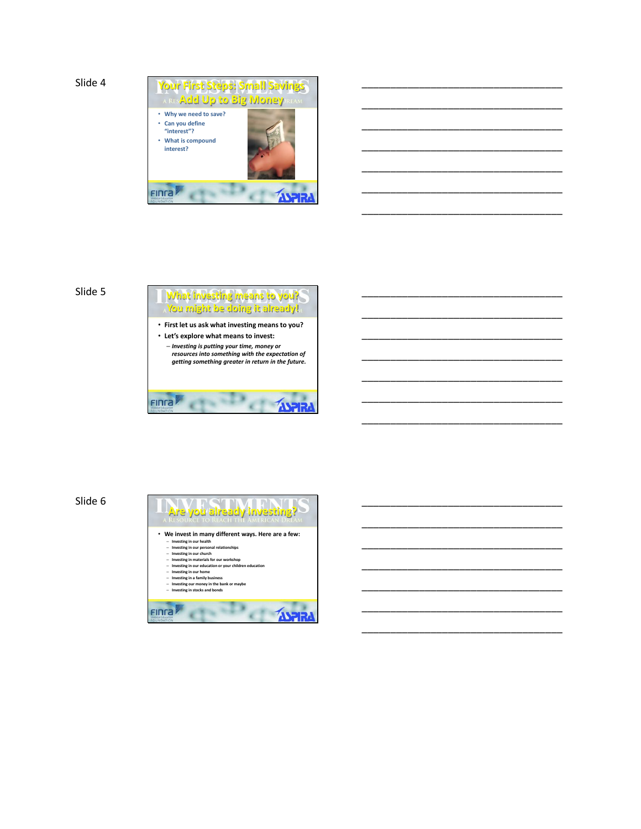

\_\_\_\_\_\_\_\_\_\_\_\_\_\_\_\_\_\_\_\_\_\_\_\_\_\_\_\_\_\_\_\_\_\_\_

\_\_\_\_\_\_\_\_\_\_\_\_\_\_\_\_\_\_\_\_\_\_\_\_\_\_\_\_\_\_\_\_\_\_\_

\_\_\_\_\_\_\_\_\_\_\_\_\_\_\_\_\_\_\_\_\_\_\_\_\_\_\_\_\_\_\_\_\_\_\_

\_\_\_\_\_\_\_\_\_\_\_\_\_\_\_\_\_\_\_\_\_\_\_\_\_\_\_\_\_\_\_\_\_\_\_

\_\_\_\_\_\_\_\_\_\_\_\_\_\_\_\_\_\_\_\_\_\_\_\_\_\_\_\_\_\_\_\_\_\_\_

\_\_\_\_\_\_\_\_\_\_\_\_\_\_\_\_\_\_\_\_\_\_\_\_\_\_\_\_\_\_\_\_\_\_\_

\_\_\_\_\_\_\_\_\_\_\_\_\_\_\_\_\_\_\_\_\_\_\_\_\_\_\_\_\_\_\_\_\_\_\_

\_\_\_\_\_\_\_\_\_\_\_\_\_\_\_\_\_\_\_\_\_\_\_\_\_\_\_\_\_\_\_\_\_\_\_

\_\_\_\_\_\_\_\_\_\_\_\_\_\_\_\_\_\_\_\_\_\_\_\_\_\_\_\_\_\_\_\_\_\_\_

\_\_\_\_\_\_\_\_\_\_\_\_\_\_\_\_\_\_\_\_\_\_\_\_\_\_\_\_\_\_\_\_\_\_\_

\_\_\_\_\_\_\_\_\_\_\_\_\_\_\_\_\_\_\_\_\_\_\_\_\_\_\_\_\_\_\_\_\_\_\_

\_\_\_\_\_\_\_\_\_\_\_\_\_\_\_\_\_\_\_\_\_\_\_\_\_\_\_\_\_\_\_\_\_\_\_

\_\_\_\_\_\_\_\_\_\_\_\_\_\_\_\_\_\_\_\_\_\_\_\_\_\_\_\_\_\_\_\_\_\_\_

\_\_\_\_\_\_\_\_\_\_\_\_\_\_\_\_\_\_\_\_\_\_\_\_\_\_\_\_\_\_\_\_\_\_\_

\_\_\_\_\_\_\_\_\_\_\_\_\_\_\_\_\_\_\_\_\_\_\_\_\_\_\_\_\_\_\_\_\_\_\_

\_\_\_\_\_\_\_\_\_\_\_\_\_\_\_\_\_\_\_\_\_\_\_\_\_\_\_\_\_\_\_\_\_\_\_

\_\_\_\_\_\_\_\_\_\_\_\_\_\_\_\_\_\_\_\_\_\_\_\_\_\_\_\_\_\_\_\_\_\_\_

\_\_\_\_\_\_\_\_\_\_\_\_\_\_\_\_\_\_\_\_\_\_\_\_\_\_\_\_\_\_\_\_\_\_\_

\_\_\_\_\_\_\_\_\_\_\_\_\_\_\_\_\_\_\_\_\_\_\_\_\_\_\_\_\_\_\_\_\_\_\_

\_\_\_\_\_\_\_\_\_\_\_\_\_\_\_\_\_\_\_\_\_\_\_\_\_\_\_\_\_\_\_\_\_\_\_

## Slide 5



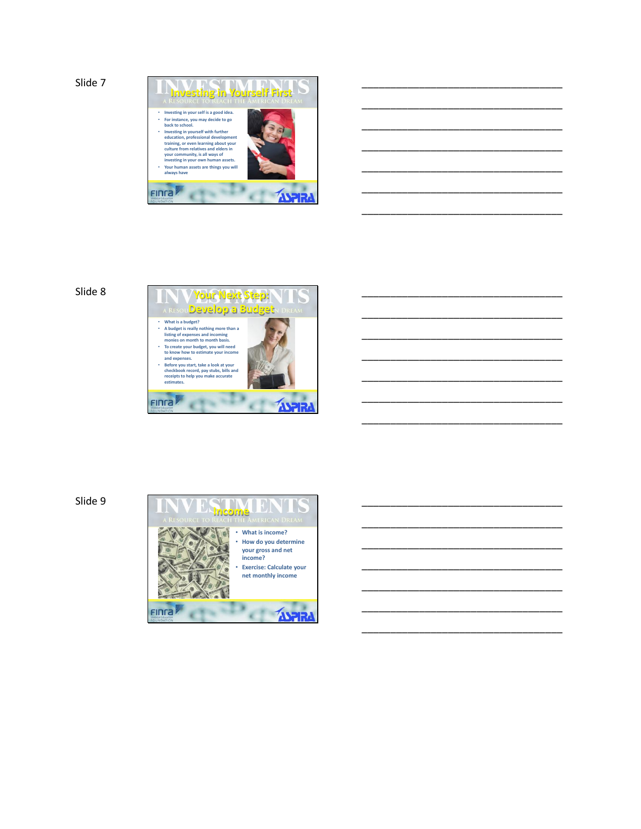

\_\_\_\_\_\_\_\_\_\_\_\_\_\_\_\_\_\_\_\_\_\_\_\_\_\_\_\_\_\_\_\_\_\_\_

\_\_\_\_\_\_\_\_\_\_\_\_\_\_\_\_\_\_\_\_\_\_\_\_\_\_\_\_\_\_\_\_\_\_\_

\_\_\_\_\_\_\_\_\_\_\_\_\_\_\_\_\_\_\_\_\_\_\_\_\_\_\_\_\_\_\_\_\_\_\_

\_\_\_\_\_\_\_\_\_\_\_\_\_\_\_\_\_\_\_\_\_\_\_\_\_\_\_\_\_\_\_\_\_\_\_

\_\_\_\_\_\_\_\_\_\_\_\_\_\_\_\_\_\_\_\_\_\_\_\_\_\_\_\_\_\_\_\_\_\_\_

\_\_\_\_\_\_\_\_\_\_\_\_\_\_\_\_\_\_\_\_\_\_\_\_\_\_\_\_\_\_\_\_\_\_\_

\_\_\_\_\_\_\_\_\_\_\_\_\_\_\_\_\_\_\_\_\_\_\_\_\_\_\_\_\_\_\_\_\_\_\_

\_\_\_\_\_\_\_\_\_\_\_\_\_\_\_\_\_\_\_\_\_\_\_\_\_\_\_\_\_\_\_\_\_\_\_

\_\_\_\_\_\_\_\_\_\_\_\_\_\_\_\_\_\_\_\_\_\_\_\_\_\_\_\_\_\_\_\_\_\_\_

\_\_\_\_\_\_\_\_\_\_\_\_\_\_\_\_\_\_\_\_\_\_\_\_\_\_\_\_\_\_\_\_\_\_\_

\_\_\_\_\_\_\_\_\_\_\_\_\_\_\_\_\_\_\_\_\_\_\_\_\_\_\_\_\_\_\_\_\_\_\_

\_\_\_\_\_\_\_\_\_\_\_\_\_\_\_\_\_\_\_\_\_\_\_\_\_\_\_\_\_\_\_\_\_\_\_

\_\_\_\_\_\_\_\_\_\_\_\_\_\_\_\_\_\_\_\_\_\_\_\_\_\_\_\_\_\_\_\_\_\_\_

\_\_\_\_\_\_\_\_\_\_\_\_\_\_\_\_\_\_\_\_\_\_\_\_\_\_\_\_\_\_\_\_\_\_\_

\_\_\_\_\_\_\_\_\_\_\_\_\_\_\_\_\_\_\_\_\_\_\_\_\_\_\_\_\_\_\_\_\_\_\_

\_\_\_\_\_\_\_\_\_\_\_\_\_\_\_\_\_\_\_\_\_\_\_\_\_\_\_\_\_\_\_\_\_\_\_

\_\_\_\_\_\_\_\_\_\_\_\_\_\_\_\_\_\_\_\_\_\_\_\_\_\_\_\_\_\_\_\_\_\_\_

\_\_\_\_\_\_\_\_\_\_\_\_\_\_\_\_\_\_\_\_\_\_\_\_\_\_\_\_\_\_\_\_\_\_\_

\_\_\_\_\_\_\_\_\_\_\_\_\_\_\_\_\_\_\_\_\_\_\_\_\_\_\_\_\_\_\_\_\_\_\_

\_\_\_\_\_\_\_\_\_\_\_\_\_\_\_\_\_\_\_\_\_\_\_\_\_\_\_\_\_\_\_\_\_\_\_

\_\_\_\_\_\_\_\_\_\_\_\_\_\_\_\_\_\_\_\_\_\_\_\_\_\_\_\_\_\_\_\_\_\_\_



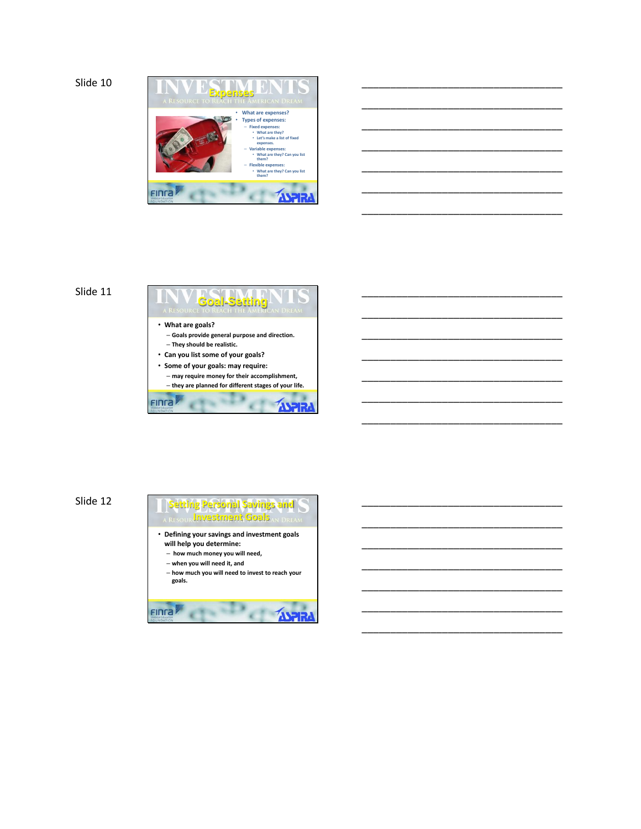

\_\_\_\_\_\_\_\_\_\_\_\_\_\_\_\_\_\_\_\_\_\_\_\_\_\_\_\_\_\_\_\_\_\_\_

\_\_\_\_\_\_\_\_\_\_\_\_\_\_\_\_\_\_\_\_\_\_\_\_\_\_\_\_\_\_\_\_\_\_\_

\_\_\_\_\_\_\_\_\_\_\_\_\_\_\_\_\_\_\_\_\_\_\_\_\_\_\_\_\_\_\_\_\_\_\_

\_\_\_\_\_\_\_\_\_\_\_\_\_\_\_\_\_\_\_\_\_\_\_\_\_\_\_\_\_\_\_\_\_\_\_

\_\_\_\_\_\_\_\_\_\_\_\_\_\_\_\_\_\_\_\_\_\_\_\_\_\_\_\_\_\_\_\_\_\_\_

\_\_\_\_\_\_\_\_\_\_\_\_\_\_\_\_\_\_\_\_\_\_\_\_\_\_\_\_\_\_\_\_\_\_\_

\_\_\_\_\_\_\_\_\_\_\_\_\_\_\_\_\_\_\_\_\_\_\_\_\_\_\_\_\_\_\_\_\_\_\_

\_\_\_\_\_\_\_\_\_\_\_\_\_\_\_\_\_\_\_\_\_\_\_\_\_\_\_\_\_\_\_\_\_\_\_

\_\_\_\_\_\_\_\_\_\_\_\_\_\_\_\_\_\_\_\_\_\_\_\_\_\_\_\_\_\_\_\_\_\_\_

\_\_\_\_\_\_\_\_\_\_\_\_\_\_\_\_\_\_\_\_\_\_\_\_\_\_\_\_\_\_\_\_\_\_\_

\_\_\_\_\_\_\_\_\_\_\_\_\_\_\_\_\_\_\_\_\_\_\_\_\_\_\_\_\_\_\_\_\_\_\_

\_\_\_\_\_\_\_\_\_\_\_\_\_\_\_\_\_\_\_\_\_\_\_\_\_\_\_\_\_\_\_\_\_\_\_

\_\_\_\_\_\_\_\_\_\_\_\_\_\_\_\_\_\_\_\_\_\_\_\_\_\_\_\_\_\_\_\_\_\_\_

\_\_\_\_\_\_\_\_\_\_\_\_\_\_\_\_\_\_\_\_\_\_\_\_\_\_\_\_\_\_\_\_\_\_\_

\_\_\_\_\_\_\_\_\_\_\_\_\_\_\_\_\_\_\_\_\_\_\_\_\_\_\_\_\_\_\_\_\_\_\_

\_\_\_\_\_\_\_\_\_\_\_\_\_\_\_\_\_\_\_\_\_\_\_\_\_\_\_\_\_\_\_\_\_\_\_

\_\_\_\_\_\_\_\_\_\_\_\_\_\_\_\_\_\_\_\_\_\_\_\_\_\_\_\_\_\_\_\_\_\_\_

\_\_\_\_\_\_\_\_\_\_\_\_\_\_\_\_\_\_\_\_\_\_\_\_\_\_\_\_\_\_\_\_\_\_\_

\_\_\_\_\_\_\_\_\_\_\_\_\_\_\_\_\_\_\_\_\_\_\_\_\_\_\_\_\_\_\_\_\_\_\_

\_\_\_\_\_\_\_\_\_\_\_\_\_\_\_\_\_\_\_\_\_\_\_\_\_\_\_\_\_\_\_\_\_\_\_

\_\_\_\_\_\_\_\_\_\_\_\_\_\_\_\_\_\_\_\_\_\_\_\_\_\_\_\_\_\_\_\_\_\_\_

# Slide 11



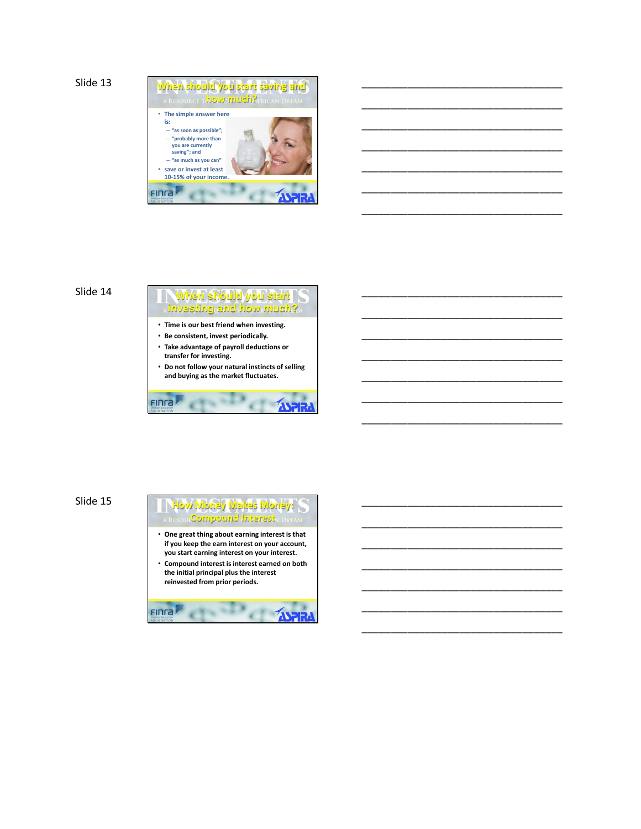```
Slide 13
```


\_\_\_\_\_\_\_\_\_\_\_\_\_\_\_\_\_\_\_\_\_\_\_\_\_\_\_\_\_\_\_\_\_\_\_

\_\_\_\_\_\_\_\_\_\_\_\_\_\_\_\_\_\_\_\_\_\_\_\_\_\_\_\_\_\_\_\_\_\_\_

\_\_\_\_\_\_\_\_\_\_\_\_\_\_\_\_\_\_\_\_\_\_\_\_\_\_\_\_\_\_\_\_\_\_\_

\_\_\_\_\_\_\_\_\_\_\_\_\_\_\_\_\_\_\_\_\_\_\_\_\_\_\_\_\_\_\_\_\_\_\_

\_\_\_\_\_\_\_\_\_\_\_\_\_\_\_\_\_\_\_\_\_\_\_\_\_\_\_\_\_\_\_\_\_\_\_

\_\_\_\_\_\_\_\_\_\_\_\_\_\_\_\_\_\_\_\_\_\_\_\_\_\_\_\_\_\_\_\_\_\_\_

\_\_\_\_\_\_\_\_\_\_\_\_\_\_\_\_\_\_\_\_\_\_\_\_\_\_\_\_\_\_\_\_\_\_\_

\_\_\_\_\_\_\_\_\_\_\_\_\_\_\_\_\_\_\_\_\_\_\_\_\_\_\_\_\_\_\_\_\_\_\_

\_\_\_\_\_\_\_\_\_\_\_\_\_\_\_\_\_\_\_\_\_\_\_\_\_\_\_\_\_\_\_\_\_\_\_

\_\_\_\_\_\_\_\_\_\_\_\_\_\_\_\_\_\_\_\_\_\_\_\_\_\_\_\_\_\_\_\_\_\_\_

\_\_\_\_\_\_\_\_\_\_\_\_\_\_\_\_\_\_\_\_\_\_\_\_\_\_\_\_\_\_\_\_\_\_\_

\_\_\_\_\_\_\_\_\_\_\_\_\_\_\_\_\_\_\_\_\_\_\_\_\_\_\_\_\_\_\_\_\_\_\_

\_\_\_\_\_\_\_\_\_\_\_\_\_\_\_\_\_\_\_\_\_\_\_\_\_\_\_\_\_\_\_\_\_\_\_

\_\_\_\_\_\_\_\_\_\_\_\_\_\_\_\_\_\_\_\_\_\_\_\_\_\_\_\_\_\_\_\_\_\_\_

\_\_\_\_\_\_\_\_\_\_\_\_\_\_\_\_\_\_\_\_\_\_\_\_\_\_\_\_\_\_\_\_\_\_\_

\_\_\_\_\_\_\_\_\_\_\_\_\_\_\_\_\_\_\_\_\_\_\_\_\_\_\_\_\_\_\_\_\_\_\_

\_\_\_\_\_\_\_\_\_\_\_\_\_\_\_\_\_\_\_\_\_\_\_\_\_\_\_\_\_\_\_\_\_\_\_

\_\_\_\_\_\_\_\_\_\_\_\_\_\_\_\_\_\_\_\_\_\_\_\_\_\_\_\_\_\_\_\_\_\_\_

\_\_\_\_\_\_\_\_\_\_\_\_\_\_\_\_\_\_\_\_\_\_\_\_\_\_\_\_\_\_\_\_\_\_\_

\_\_\_\_\_\_\_\_\_\_\_\_\_\_\_\_\_\_\_\_\_\_\_\_\_\_\_\_\_\_\_\_\_\_\_

### Slide 14

**When should you start investing and how much?** • **Time is our best friend when investing.** • **Be consistent, invest periodically.** • **Take advantage of payroll deductions or transfer for investing.** • **Do not follow your natural instincts of selling and buying as the market fluctuates.** Finra

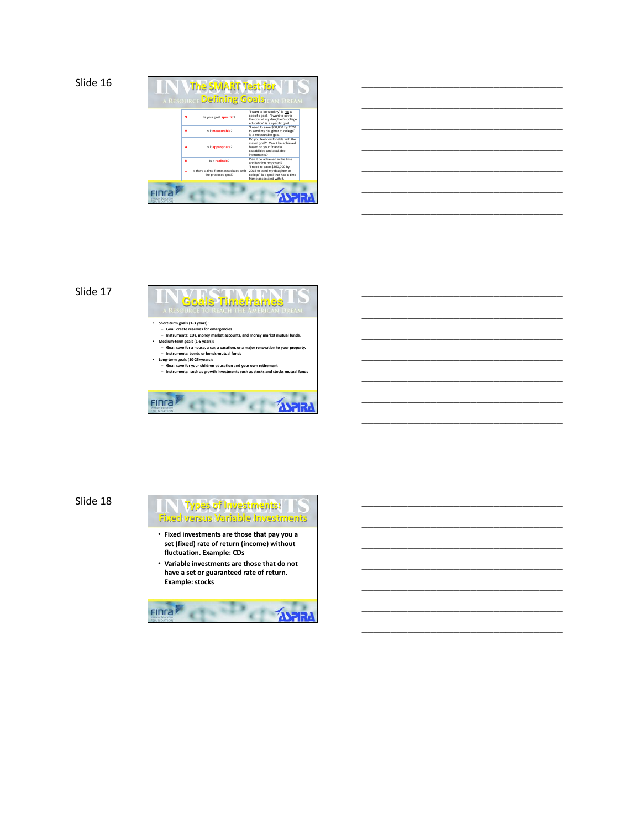



\_\_\_\_\_\_\_\_\_\_\_\_\_\_\_\_\_\_\_\_\_\_\_\_\_\_\_\_\_\_\_\_\_\_\_

\_\_\_\_\_\_\_\_\_\_\_\_\_\_\_\_\_\_\_\_\_\_\_\_\_\_\_\_\_\_\_\_\_\_\_

\_\_\_\_\_\_\_\_\_\_\_\_\_\_\_\_\_\_\_\_\_\_\_\_\_\_\_\_\_\_\_\_\_\_\_

\_\_\_\_\_\_\_\_\_\_\_\_\_\_\_\_\_\_\_\_\_\_\_\_\_\_\_\_\_\_\_\_\_\_\_

\_\_\_\_\_\_\_\_\_\_\_\_\_\_\_\_\_\_\_\_\_\_\_\_\_\_\_\_\_\_\_\_\_\_\_

\_\_\_\_\_\_\_\_\_\_\_\_\_\_\_\_\_\_\_\_\_\_\_\_\_\_\_\_\_\_\_\_\_\_\_

\_\_\_\_\_\_\_\_\_\_\_\_\_\_\_\_\_\_\_\_\_\_\_\_\_\_\_\_\_\_\_\_\_\_\_

\_\_\_\_\_\_\_\_\_\_\_\_\_\_\_\_\_\_\_\_\_\_\_\_\_\_\_\_\_\_\_\_\_\_\_

\_\_\_\_\_\_\_\_\_\_\_\_\_\_\_\_\_\_\_\_\_\_\_\_\_\_\_\_\_\_\_\_\_\_\_

\_\_\_\_\_\_\_\_\_\_\_\_\_\_\_\_\_\_\_\_\_\_\_\_\_\_\_\_\_\_\_\_\_\_\_

\_\_\_\_\_\_\_\_\_\_\_\_\_\_\_\_\_\_\_\_\_\_\_\_\_\_\_\_\_\_\_\_\_\_\_

\_\_\_\_\_\_\_\_\_\_\_\_\_\_\_\_\_\_\_\_\_\_\_\_\_\_\_\_\_\_\_\_\_\_\_

\_\_\_\_\_\_\_\_\_\_\_\_\_\_\_\_\_\_\_\_\_\_\_\_\_\_\_\_\_\_\_\_\_\_\_

#### Slide 17



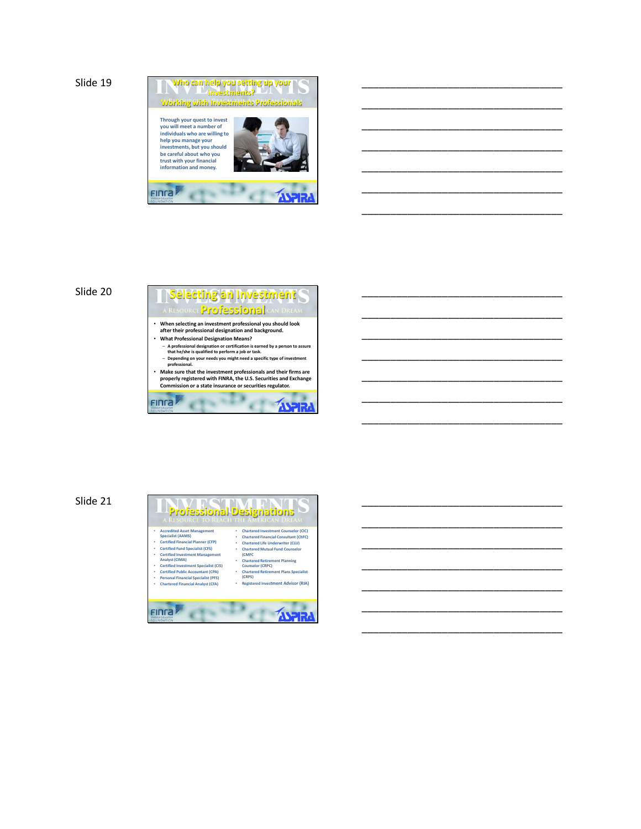

\_\_\_\_\_\_\_\_\_\_\_\_\_\_\_\_\_\_\_\_\_\_\_\_\_\_\_\_\_\_\_\_\_\_\_

\_\_\_\_\_\_\_\_\_\_\_\_\_\_\_\_\_\_\_\_\_\_\_\_\_\_\_\_\_\_\_\_\_\_\_

\_\_\_\_\_\_\_\_\_\_\_\_\_\_\_\_\_\_\_\_\_\_\_\_\_\_\_\_\_\_\_\_\_\_\_

\_\_\_\_\_\_\_\_\_\_\_\_\_\_\_\_\_\_\_\_\_\_\_\_\_\_\_\_\_\_\_\_\_\_\_

\_\_\_\_\_\_\_\_\_\_\_\_\_\_\_\_\_\_\_\_\_\_\_\_\_\_\_\_\_\_\_\_\_\_\_

\_\_\_\_\_\_\_\_\_\_\_\_\_\_\_\_\_\_\_\_\_\_\_\_\_\_\_\_\_\_\_\_\_\_\_

\_\_\_\_\_\_\_\_\_\_\_\_\_\_\_\_\_\_\_\_\_\_\_\_\_\_\_\_\_\_\_\_\_\_\_

\_\_\_\_\_\_\_\_\_\_\_\_\_\_\_\_\_\_\_\_\_\_\_\_\_\_\_\_\_\_\_\_\_\_\_

\_\_\_\_\_\_\_\_\_\_\_\_\_\_\_\_\_\_\_\_\_\_\_\_\_\_\_\_\_\_\_\_\_\_\_

\_\_\_\_\_\_\_\_\_\_\_\_\_\_\_\_\_\_\_\_\_\_\_\_\_\_\_\_\_\_\_\_\_\_\_

\_\_\_\_\_\_\_\_\_\_\_\_\_\_\_\_\_\_\_\_\_\_\_\_\_\_\_\_\_\_\_\_\_\_\_

\_\_\_\_\_\_\_\_\_\_\_\_\_\_\_\_\_\_\_\_\_\_\_\_\_\_\_\_\_\_\_\_\_\_\_

\_\_\_\_\_\_\_\_\_\_\_\_\_\_\_\_\_\_\_\_\_\_\_\_\_\_\_\_\_\_\_\_\_\_\_

\_\_\_\_\_\_\_\_\_\_\_\_\_\_\_\_\_\_\_\_\_\_\_\_\_\_\_\_\_\_\_\_\_\_\_

\_\_\_\_\_\_\_\_\_\_\_\_\_\_\_\_\_\_\_\_\_\_\_\_\_\_\_\_\_\_\_\_\_\_\_

\_\_\_\_\_\_\_\_\_\_\_\_\_\_\_\_\_\_\_\_\_\_\_\_\_\_\_\_\_\_\_\_\_\_\_

\_\_\_\_\_\_\_\_\_\_\_\_\_\_\_\_\_\_\_\_\_\_\_\_\_\_\_\_\_\_\_\_\_\_\_

\_\_\_\_\_\_\_\_\_\_\_\_\_\_\_\_\_\_\_\_\_\_\_\_\_\_\_\_\_\_\_\_\_\_\_

\_\_\_\_\_\_\_\_\_\_\_\_\_\_\_\_\_\_\_\_\_\_\_\_\_\_\_\_\_\_\_\_\_\_\_

\_\_\_\_\_\_\_\_\_\_\_\_\_\_\_\_\_\_\_\_\_\_\_\_\_\_\_\_\_\_\_\_\_\_\_

#### Slide 20

**Professional**e • **When selecting an investment professional you should look after their professional designation and background.** • **What Professional Designation Means?**  – **A professional designation or certification is earned by a person to assure that he/she is qualified to perform a job or task.** – **Depending on your needs you might need a specific type of investment professional.** • **Make sure that the investment professionals and their firms are properly registered with FINRA, the U.S. Securities and Exchange Commission or a state insurance or securities regulator.** FINTA **EXAMPLE** чā **CTH** 

**Selecting an Investment**

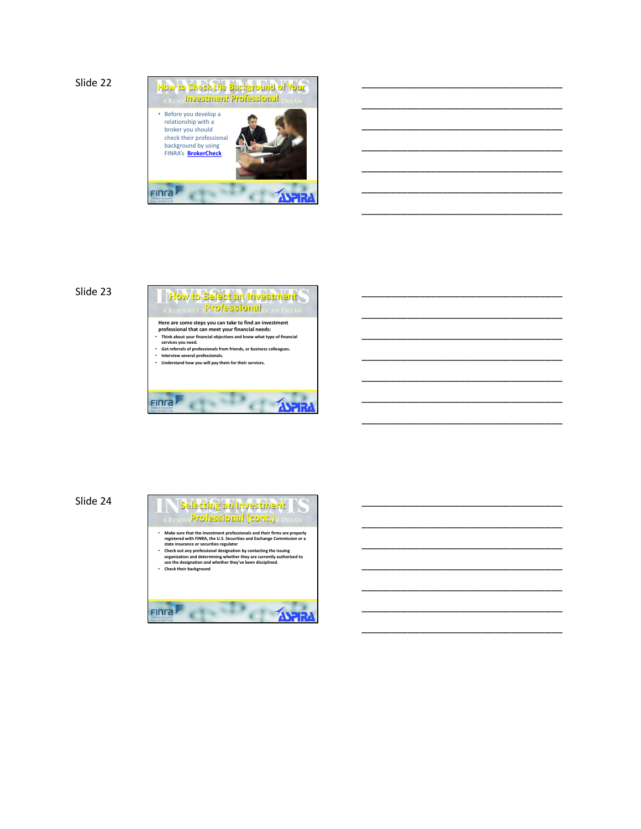

\_\_\_\_\_\_\_\_\_\_\_\_\_\_\_\_\_\_\_\_\_\_\_\_\_\_\_\_\_\_\_\_\_\_\_

\_\_\_\_\_\_\_\_\_\_\_\_\_\_\_\_\_\_\_\_\_\_\_\_\_\_\_\_\_\_\_\_\_\_\_

\_\_\_\_\_\_\_\_\_\_\_\_\_\_\_\_\_\_\_\_\_\_\_\_\_\_\_\_\_\_\_\_\_\_\_

\_\_\_\_\_\_\_\_\_\_\_\_\_\_\_\_\_\_\_\_\_\_\_\_\_\_\_\_\_\_\_\_\_\_\_

\_\_\_\_\_\_\_\_\_\_\_\_\_\_\_\_\_\_\_\_\_\_\_\_\_\_\_\_\_\_\_\_\_\_\_

\_\_\_\_\_\_\_\_\_\_\_\_\_\_\_\_\_\_\_\_\_\_\_\_\_\_\_\_\_\_\_\_\_\_\_

\_\_\_\_\_\_\_\_\_\_\_\_\_\_\_\_\_\_\_\_\_\_\_\_\_\_\_\_\_\_\_\_\_\_\_

\_\_\_\_\_\_\_\_\_\_\_\_\_\_\_\_\_\_\_\_\_\_\_\_\_\_\_\_\_\_\_\_\_\_\_

\_\_\_\_\_\_\_\_\_\_\_\_\_\_\_\_\_\_\_\_\_\_\_\_\_\_\_\_\_\_\_\_\_\_\_

\_\_\_\_\_\_\_\_\_\_\_\_\_\_\_\_\_\_\_\_\_\_\_\_\_\_\_\_\_\_\_\_\_\_\_

\_\_\_\_\_\_\_\_\_\_\_\_\_\_\_\_\_\_\_\_\_\_\_\_\_\_\_\_\_\_\_\_\_\_\_

\_\_\_\_\_\_\_\_\_\_\_\_\_\_\_\_\_\_\_\_\_\_\_\_\_\_\_\_\_\_\_\_\_\_\_

\_\_\_\_\_\_\_\_\_\_\_\_\_\_\_\_\_\_\_\_\_\_\_\_\_\_\_\_\_\_\_\_\_\_\_

\_\_\_\_\_\_\_\_\_\_\_\_\_\_\_\_\_\_\_\_\_\_\_\_\_\_\_\_\_\_\_\_\_\_\_

\_\_\_\_\_\_\_\_\_\_\_\_\_\_\_\_\_\_\_\_\_\_\_\_\_\_\_\_\_\_\_\_\_\_\_

\_\_\_\_\_\_\_\_\_\_\_\_\_\_\_\_\_\_\_\_\_\_\_\_\_\_\_\_\_\_\_\_\_\_\_

\_\_\_\_\_\_\_\_\_\_\_\_\_\_\_\_\_\_\_\_\_\_\_\_\_\_\_\_\_\_\_\_\_\_\_

\_\_\_\_\_\_\_\_\_\_\_\_\_\_\_\_\_\_\_\_\_\_\_\_\_\_\_\_\_\_\_\_\_\_\_

\_\_\_\_\_\_\_\_\_\_\_\_\_\_\_\_\_\_\_\_\_\_\_\_\_\_\_\_\_\_\_\_\_\_\_

\_\_\_\_\_\_\_\_\_\_\_\_\_\_\_\_\_\_\_\_\_\_\_\_\_\_\_\_\_\_\_\_\_\_\_

\_\_\_\_\_\_\_\_\_\_\_\_\_\_\_\_\_\_\_\_\_\_\_\_\_\_\_\_\_\_\_\_\_\_\_



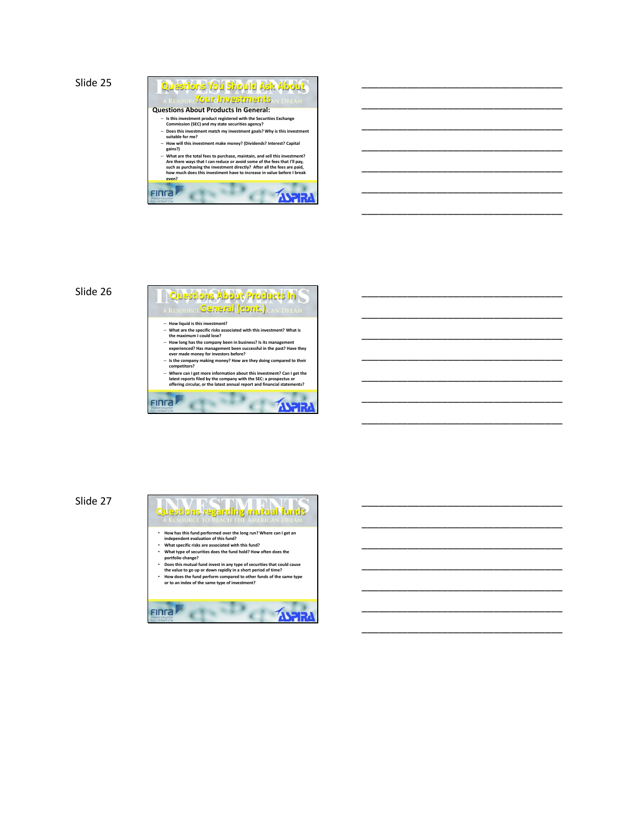

\_\_\_\_\_\_\_\_\_\_\_\_\_\_\_\_\_\_\_\_\_\_\_\_\_\_\_\_\_\_\_\_\_\_\_

\_\_\_\_\_\_\_\_\_\_\_\_\_\_\_\_\_\_\_\_\_\_\_\_\_\_\_\_\_\_\_\_\_\_\_

\_\_\_\_\_\_\_\_\_\_\_\_\_\_\_\_\_\_\_\_\_\_\_\_\_\_\_\_\_\_\_\_\_\_\_

\_\_\_\_\_\_\_\_\_\_\_\_\_\_\_\_\_\_\_\_\_\_\_\_\_\_\_\_\_\_\_\_\_\_\_

\_\_\_\_\_\_\_\_\_\_\_\_\_\_\_\_\_\_\_\_\_\_\_\_\_\_\_\_\_\_\_\_\_\_\_

\_\_\_\_\_\_\_\_\_\_\_\_\_\_\_\_\_\_\_\_\_\_\_\_\_\_\_\_\_\_\_\_\_\_\_

\_\_\_\_\_\_\_\_\_\_\_\_\_\_\_\_\_\_\_\_\_\_\_\_\_\_\_\_\_\_\_\_\_\_\_

\_\_\_\_\_\_\_\_\_\_\_\_\_\_\_\_\_\_\_\_\_\_\_\_\_\_\_\_\_\_\_\_\_\_\_

\_\_\_\_\_\_\_\_\_\_\_\_\_\_\_\_\_\_\_\_\_\_\_\_\_\_\_\_\_\_\_\_\_\_\_

\_\_\_\_\_\_\_\_\_\_\_\_\_\_\_\_\_\_\_\_\_\_\_\_\_\_\_\_\_\_\_\_\_\_\_

\_\_\_\_\_\_\_\_\_\_\_\_\_\_\_\_\_\_\_\_\_\_\_\_\_\_\_\_\_\_\_\_\_\_\_

\_\_\_\_\_\_\_\_\_\_\_\_\_\_\_\_\_\_\_\_\_\_\_\_\_\_\_\_\_\_\_\_\_\_\_

\_\_\_\_\_\_\_\_\_\_\_\_\_\_\_\_\_\_\_\_\_\_\_\_\_\_\_\_\_\_\_\_\_\_\_

\_\_\_\_\_\_\_\_\_\_\_\_\_\_\_\_\_\_\_\_\_\_\_\_\_\_\_\_\_\_\_\_\_\_\_

\_\_\_\_\_\_\_\_\_\_\_\_\_\_\_\_\_\_\_\_\_\_\_\_\_\_\_\_\_\_\_\_\_\_\_

\_\_\_\_\_\_\_\_\_\_\_\_\_\_\_\_\_\_\_\_\_\_\_\_\_\_\_\_\_\_\_\_\_\_\_

\_\_\_\_\_\_\_\_\_\_\_\_\_\_\_\_\_\_\_\_\_\_\_\_\_\_\_\_\_\_\_\_\_\_\_

\_\_\_\_\_\_\_\_\_\_\_\_\_\_\_\_\_\_\_\_\_\_\_\_\_\_\_\_\_\_\_\_\_\_\_

\_\_\_\_\_\_\_\_\_\_\_\_\_\_\_\_\_\_\_\_\_\_\_\_\_\_\_\_\_\_\_\_\_\_\_

\_\_\_\_\_\_\_\_\_\_\_\_\_\_\_\_\_\_\_\_\_\_\_\_\_\_\_\_\_\_\_\_\_\_\_

\_\_\_\_\_\_\_\_\_\_\_\_\_\_\_\_\_\_\_\_\_\_\_\_\_\_\_\_\_\_\_\_\_\_\_

#### Slide 26